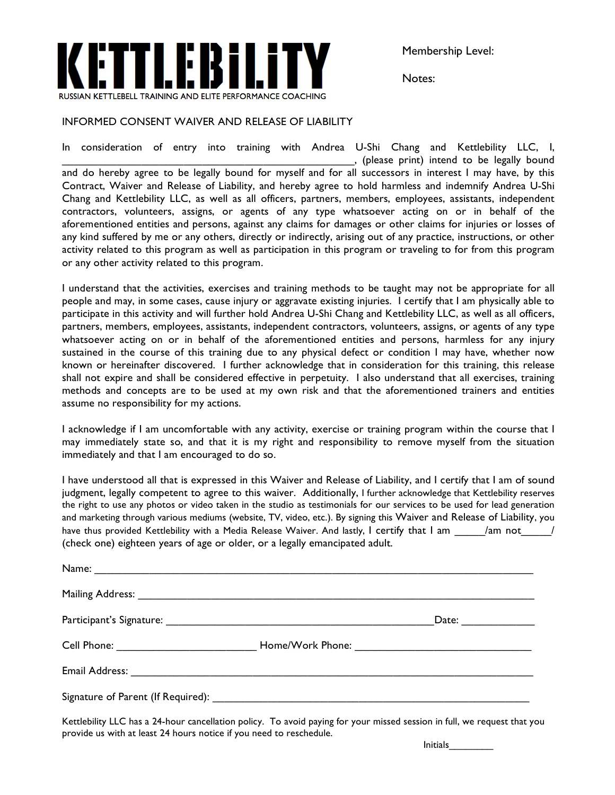

Membership Level:

Notes:

### INFORMED CONSENT WAIVER AND RELEASE OF LIABILITY

In consideration of entry into training with Andrea U-Shi Chang and Kettlebility LLC, I, \_\_\_\_\_\_\_\_\_\_\_\_\_\_\_\_\_\_\_\_\_\_\_\_\_\_\_\_\_\_\_\_\_\_\_\_\_\_\_\_\_\_\_\_\_\_\_\_, (please print) intend to be legally bound and do hereby agree to be legally bound for myself and for all successors in interest I may have, by this Contract, Waiver and Release of Liability, and hereby agree to hold harmless and indemnify Andrea U-Shi Chang and Kettlebility LLC, as well as all officers, partners, members, employees, assistants, independent contractors, volunteers, assigns, or agents of any type whatsoever acting on or in behalf of the aforementioned entities and persons, against any claims for damages or other claims for injuries or losses of any kind suffered by me or any others, directly or indirectly, arising out of any practice, instructions, or other activity related to this program as well as participation in this program or traveling to for from this program or any other activity related to this program.

I understand that the activities, exercises and training methods to be taught may not be appropriate for all people and may, in some cases, cause injury or aggravate existing injuries. I certify that I am physically able to participate in this activity and will further hold Andrea U-Shi Chang and Kettlebility LLC, as well as all officers, partners, members, employees, assistants, independent contractors, volunteers, assigns, or agents of any type whatsoever acting on or in behalf of the aforementioned entities and persons, harmless for any injury sustained in the course of this training due to any physical defect or condition I may have, whether now known or hereinafter discovered. I further acknowledge that in consideration for this training, this release shall not expire and shall be considered effective in perpetuity. I also understand that all exercises, training methods and concepts are to be used at my own risk and that the aforementioned trainers and entities assume no responsibility for my actions.

I acknowledge if I am uncomfortable with any activity, exercise or training program within the course that I may immediately state so, and that it is my right and responsibility to remove myself from the situation immediately and that I am encouraged to do so.

I have understood all that is expressed in this Waiver and Release of Liability, and I certify that I am of sound judgment, legally competent to agree to this waiver. Additionally, I further acknowledge that Kettlebility reserves the right to use any photos or video taken in the studio as testimonials for our services to be used for lead generation and marketing through various mediums (website, TV, video, etc.). By signing this Waiver and Release of Liability, you have thus provided Kettlebility with a Media Release Waiver. And lastly, I certify that I am  $\frac{1}{2}$  / am not (check one) eighteen years of age or older, or a legally emancipated adult.

|  | Date: $\frac{1}{\sqrt{1-\frac{1}{2}}\cdot\frac{1}{2}}$ |
|--|--------------------------------------------------------|
|  |                                                        |
|  |                                                        |
|  |                                                        |
|  |                                                        |

Kettlebility LLC has a 24-hour cancellation policy. To avoid paying for your missed session in full, we request that you provide us with at least 24 hours notice if you need to reschedule.

Initials\_\_\_\_\_\_\_\_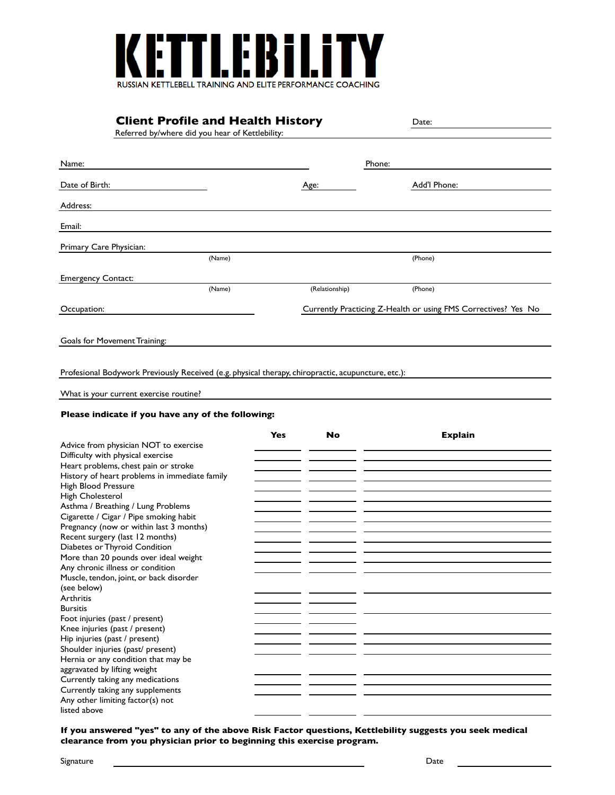

# **Client Profile and Health History** Date: Referred by/where did you hear of Kettlebility: Name: Phone: Date of Birth: Age: Add'l Phone: Age: Add'l Phone: Add'l Phone: Add'l Phone: Add'l Phone: Add'l Phone: Add'l Phone: Add'l Phone: Add'l Phone: Add'l Phone: Add'l Phone: Add'l Phone: Add'l Phone: Add'l Phone: Add'l Phone: Ad Address: Email: Primary Care Physician: (Name) (Phone) Emergency Contact: (Name) (Relationship) (Phone) Occupation: Currently Practicing Z-Health or using FMS Correctives? Yes No Goals for Movement Training:

Profesional Bodywork Previously Received (e.g. physical therapy, chiropractic, acupuncture, etc.):

What is your current exercise routine?

#### **Please indicate if you have any of the following:**

|                                               | <b>Yes</b> | No | <b>Explain</b> |
|-----------------------------------------------|------------|----|----------------|
| Advice from physician NOT to exercise         |            |    |                |
| Difficulty with physical exercise             |            |    |                |
| Heart problems, chest pain or stroke          |            |    |                |
| History of heart problems in immediate family |            |    |                |
| High Blood Pressure                           |            |    |                |
| High Cholesterol                              |            |    |                |
| Asthma / Breathing / Lung Problems            |            |    |                |
| Cigarette / Cigar / Pipe smoking habit        |            |    |                |
| Pregnancy (now or within last 3 months)       |            |    |                |
| Recent surgery (last 12 months)               |            |    |                |
| Diabetes or Thyroid Condition                 |            |    |                |
| More than 20 pounds over ideal weight         |            |    |                |
| Any chronic illness or condition              |            |    |                |
| Muscle, tendon, joint, or back disorder       |            |    |                |
| (see below)                                   |            |    |                |
| Arthritis                                     |            |    |                |
| <b>Bursitis</b>                               |            |    |                |
| Foot injuries (past / present)                |            |    |                |
| Knee injuries (past / present)                |            |    |                |
| Hip injuries (past / present)                 |            |    |                |
| Shoulder injuries (past/ present)             |            |    |                |
| Hernia or any condition that may be           |            |    |                |
| aggravated by lifting weight                  |            |    |                |
| Currently taking any medications              |            |    |                |
| Currently taking any supplements              |            |    |                |
| Any other limiting factor(s) not              |            |    |                |
| listed above                                  |            |    |                |

**If you answered "yes" to any of the above Risk Factor questions, Kettlebility suggests you seek medical clearance from you physician prior to beginning this exercise program.**